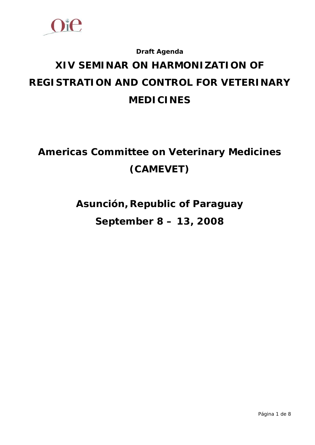

## **Draft Agenda**

# **XIV SEMINAR ON HARMONIZATION OF REGISTRATION AND CONTROL FOR VETERINARY MEDICINES**

## **Americas Committee on Veterinary Medicines (CAMEVET)**

**Asunción, Republic of Paraguay September 8 – 13, 2008**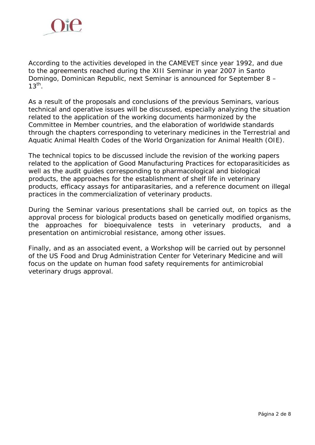

According to the activities developed in the CAMEVET since year 1992, and due to the agreements reached during the XIII Seminar in year 2007 in Santo Domingo, Dominican Republic, next Seminar is announced for September 8 –  $13^{th}$ .

As a result of the proposals and conclusions of the previous Seminars, various technical and operative issues will be discussed, especially analyzing the situation related to the application of the working documents harmonized by the Committee in Member countries, and the elaboration of worldwide standards through the chapters corresponding to veterinary medicines in the Terrestrial and Aquatic Animal Health Codes of the World Organization for Animal Health (OIE).

The technical topics to be discussed include the revision of the working papers related to the application of Good Manufacturing Practices for ectoparasiticides as well as the audit guides corresponding to pharmacological and biological products, the approaches for the establishment of shelf life in veterinary products, efficacy assays for antiparasitaries, and a reference document on illegal practices in the commercialization of veterinary products.

During the Seminar various presentations shall be carried out, on topics as the approval process for biological products based on genetically modified organisms, the approaches for bioequivalence tests in veterinary products, and a presentation on antimicrobial resistance, among other issues.

Finally, and as an associated event, a Workshop will be carried out by personnel of the US Food and Drug Administration Center for Veterinary Medicine and will focus on the update on human food safety requirements for antimicrobial veterinary drugs approval.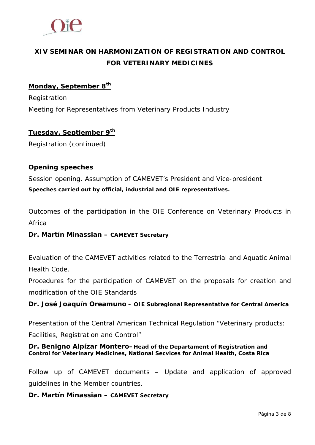

## **XIV SEMINAR ON HARMONIZATION OF REGISTRATION AND CONTROL FOR VETERINARY MEDICINES**

## **Monday, September 8th**

Registration Meeting for Representatives from Veterinary Products Industry

## **Tuesday, Septiember 9th**

Registration (continued)

## **Opening speeches**

Session opening. Assumption of CAMEVET's President and Vice-president **Speeches carried out by official, industrial and OIE representatives.** 

Outcomes of the participation in the OIE Conference on Veterinary Products in Africa

## **Dr. Martín Minassian – CAMEVET Secretary**

Evaluation of the CAMEVET activities related to the Terrestrial and Aquatic Animal Health Code.

Procedures for the participation of CAMEVET on the proposals for creation and modification of the OIE Standards

## **Dr. José Joaquín Oreamuno – OIE Subregional Representative for Central America**

Presentation of the Central American Technical Regulation "Veterinary products: Facilities, Registration and Control"

## **Dr. Benigno Alpízar Montero–Head of the Departament of Registration and Control for Veterinary Medicines, National Secvices for Animal Health, Costa Rica**

Follow up of CAMEVET documents – Update and application of approved guidelines in the Member countries.

## **Dr. Martín Minassian – CAMEVET Secretary**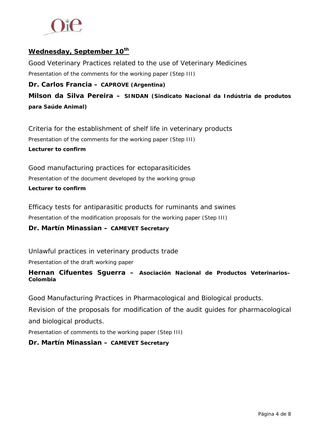

## **Wednesday, September 10th**

Good Veterinary Practices related to the use of Veterinary Medicines

Presentation of the comments for the working paper (Step III)

#### **Dr. Carlos Francia – CAPROVE (Argentina)**

**Milson da Silva Pereira – SINDAN (Sindicato Nacional da Indústria de produtos para Saúde Animal)**

Criteria for the establishment of shelf life in veterinary products Presentation of the comments for the working paper (Step III) **Lecturer to confirm** 

Good manufacturing practices for ectoparasiticides Presentation of the document developed by the working group **Lecturer to confirm** 

Efficacy tests for antiparasitic products for ruminants and swines Presentation of the modification proposals for the working paper (Step III)

## **Dr. Martín Minassian – CAMEVET Secretary**

Unlawful practices in veterinary products trade

Presentation of the draft working paper

#### **Hernan Cifuentes Sguerra – Asociación Nacional de Productos Veterinarios– Colombia**

Good Manufacturing Practices in Pharmacological and Biological products.

Revision of the proposals for modification of the audit guides for pharmacological and biological products.

Presentation of comments to the working paper (Step III)

#### **Dr. Martín Minassian – CAMEVET Secretary**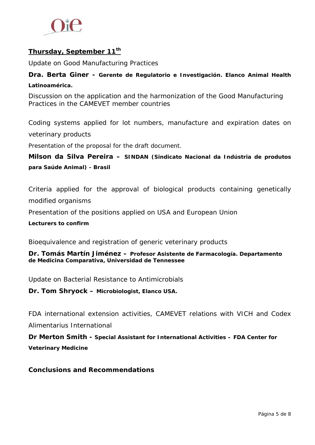

## **Thursday, September 11th**

Update on Good Manufacturing Practices

## **Dra. Berta Giner - Gerente de Regulatorio e Investigación. Elanco Animal Health Latinoamérica.**

Discussion on the application and the harmonization of the Good Manufacturing Practices in the CAMEVET member countries

Coding systems applied for lot numbers, manufacture and expiration dates on veterinary products

Presentation of the proposal for the draft document.

**Milson da Silva Pereira – SINDAN (Sindicato Nacional da Indústria de produtos para Saúde Animal) - Brasil**

Criteria applied for the approval of biological products containing genetically modified organisms

Presentation of the positions applied on USA and European Union

**Lecturers to confirm** 

Bioequivalence and registration of generic veterinary products

**Dr. Tomás Martín Jiménez – Profesor Asistente de Farmacología. Departamento de Medicina Comparativa, Universidad de Tennessee** 

Update on Bacterial Resistance to Antimicrobials

**Dr. Tom Shryock – Microbiologist, Elanco USA.**

FDA international extension activities, CAMEVET relations with VICH and Codex Alimentarius International

**Dr Merton Smith - Special Assistant for International Activities – FDA Center for Veterinary Medicine**

## **Conclusions and Recommendations**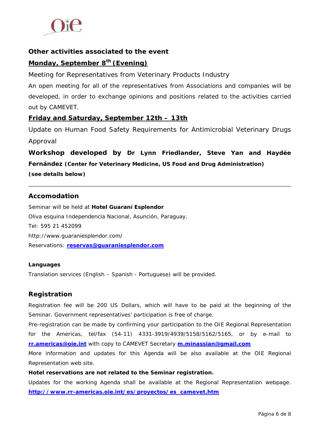

## **Other activities associated to the event**

## **Monday, September 8th (Evening)**

Meeting for Representatives from Veterinary Products Industry

An open meeting for all of the representatives from Associations and companies will be developed, in order to exchange opinions and positions related to the activities carried out by CAMEVET.

## **Friday and Saturday, September 12th – 13th**

Update on Human Food Safety Requirements for Antimicrobial Veterinary Drugs Approval

**Workshop developed by Dr Lynn Friedlander, Steve Yan and Haydée Fernández (Center for Veterinary Medicine, US Food and Drug Administration) (see details below)** 

#### **Accomodation**

Seminar will be held at **Hotel Guaraní Esplendor** Oliva esquina Independencia Nacional, Asunción, Paraguay. Tel: 595 21 452099 http://www.guaraniesplendor.com/ Reservations: **[reservas@guaraniesplendor.com](mailto:reservas@guaraniesplendor.com)**

#### **Languages**

Translation services (English – Spanish - Portuguese) will be provided.

#### **Registration**

Registration fee will be 200 US Dollars, which will have to be paid at the beginning of the Seminar. Government representatives' participation is free of charge.

Pre-registration can be made by confirming your participation to the OIE Regional Representation for the Americas, tel/fax (54-11) 4331-3919/4939/5158/5162/5165, or by e-mail to **[rr.americas@oie.int](mailto:rr.americas@oie.int)** with copy to CAMEVET Secretary **[m.minassian@gmail.com](mailto:m.minassian@gmail.com)**

More information and updates for this Agenda will be also available at the OIE Regional Representation web site.

#### **Hotel reservations are not related to the Seminar registration.**

Updates for the working Agenda shall be available at the Regional Representation webpage. **[http://www.rr-americas.oie.int/es/proyectos/es\\_camevet.htm](http://www.rr-americas.oie.int/es/proyectos/es_camevet.htm)**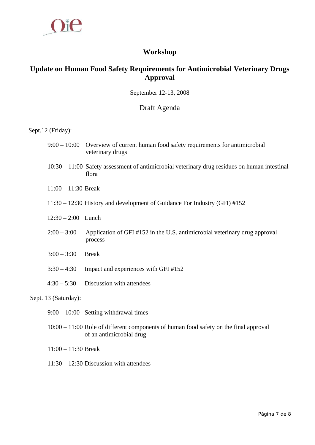

## **Workshop**

## **Update on Human Food Safety Requirements for Antimicrobial Veterinary Drugs Approval**

September 12-13, 2008

#### Draft Agenda

#### Sept.12 (Friday):

- 9:00 10:00 Overview of current human food safety requirements for antimicrobial veterinary drugs
- 10:30 11:00 Safety assessment of antimicrobial veterinary drug residues on human intestinal flora
- 11:00 11:30 Break
- 11:30 12:30 History and development of Guidance For Industry (GFI) #152
- 12:30 2:00 Lunch
- 2:00 3:00 Application of GFI #152 in the U.S. antimicrobial veterinary drug approval process
- 3:00 3:30 Break
- 3:30 4:30 Impact and experiences with GFI #152
- 4:30 5:30 Discussion with attendees

#### Sept. 13 (Saturday):

- 9:00 10:00 Setting withdrawal times
- 10:00 11:00 Role of different components of human food safety on the final approval of an antimicrobial drug
- 11:00 11:30 Break
- 11:30 12:30 Discussion with attendees